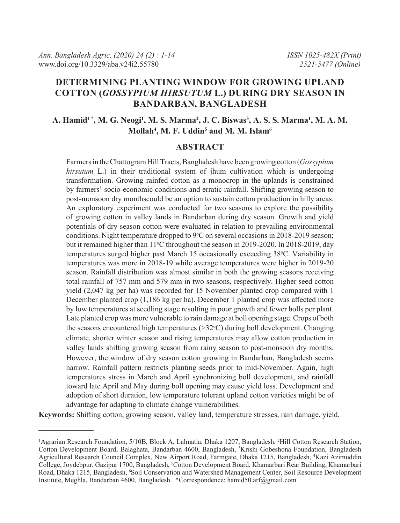# **Determining planting window for growing upland cotton (***Gossypium hirsutum* **L.) during dry season in Bandarban, Bangladesh**

# **A. Hamid1 \*, M. G. Neogi1 , M. S. Marma2 , J. C. Biswas3 , A. S. S. Marma1 , M. A. M. Mollah4 , M. F. Uddin5 and M. M. Islam6**

#### **ABSTRACT**

Farmers in the Chattogram Hill Tracts, Bangladesh have been growing cotton (*Gossypium hirsutum* L.) in their traditional system of jhum cultivation which is undergoing transformation. Growing rainfed cotton as a monocrop in the uplands is constrained by farmers' socio-economic conditions and erratic rainfall. Shifting growing season to post-monsoon dry monthscould be an option to sustain cotton production in hilly areas. An exploratory experiment was conducted for two seasons to explore the possibility of growing cotton in valley lands in Bandarban during dry season. Growth and yield potentials of dry season cotton were evaluated in relation to prevailing environmental conditions. Night temperature dropped to 9°C on several occasions in 2018-2019 season; but it remained higher than 11°C throughout the season in 2019-2020. In 2018-2019, day temperatures surged higher past March 15 occasionally exceeding 38°C. Variability in temperatures was more in 2018-19 while average temperatures were higher in 2019-20 season. Rainfall distribution was almost similar in both the growing seasons receiving total rainfall of 757 mm and 579 mm in two seasons, respectively. Higher seed cotton yield (2,047 kg per ha) was recorded for 15 November planted crop compared with 1 December planted crop (1,186 kg per ha). December 1 planted crop was affected more by low temperatures at seedling stage resulting in poor growth and fewer bolls per plant. Late planted crop was more vulnerable to rain damage at boll opening stage. Crops of both the seasons encountered high temperatures  $(>=32^{\circ}C)$  during boll development. Changing climate, shorter winter season and rising temperatures may allow cotton production in valley lands shifting growing season from rainy season to post-monsoon dry months. However, the window of dry season cotton growing in Bandarban, Bangladesh seems narrow. Rainfall pattern restricts planting seeds prior to mid-November. Again, high temperatures stress in March and April synchronizing boll development, and rainfall toward late April and May during boll opening may cause yield loss. Development and adoption of short duration, low temperature tolerant upland cotton varieties might be of advantage for adapting to climate change vulnerabilities.

**Keywords:** Shifting cotton, growing season, valley land, temperature stresses, rain damage, yield.

<sup>&</sup>lt;sup>1</sup>Agrarian Research Foundation, 5/10B, Block A, Lalmatia, Dhaka 1207, Bangladesh, <sup>2</sup>Hill Cotton Research Station, Cotton Development Board, Balaghata, Bandarban 4600, Bangladesh, <sup>3</sup>Krishi Gobeshona Foundation, Bangladesh Agricultural Research Council Complex, New Airport Road, Farmgate, Dhaka 1215, Bangladesh, 4 Kazi Azimuddin College, Joydebpur, Gazipur 1700, Bangladesh, <sup>5</sup>Cotton Development Board, Khamarbari Rear Building, Khamarbari Road, Dhaka 1215, Bangladesh, <sup>6</sup>Soil Conservation and Watershed Management Center, Soil Resource Development Institute, Meghla, Bandarban 4600, Bangladesh. \*Correspondence: hamid50.arf@gmail.com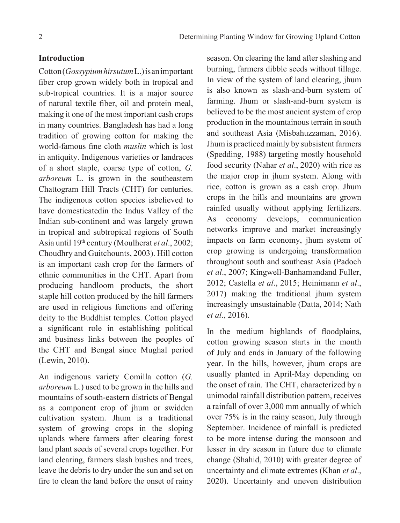### **Introduction**

Cotton (*Gossypium hirsutum* L.) is an important fiber crop grown widely both in tropical and sub-tropical countries. It is a major source of natural textile fiber, oil and protein meal, making it one of the most important cash crops in many countries. Bangladesh has had a long tradition of growing cotton for making the world-famous fine cloth *muslin* which is lost in antiquity. Indigenous varieties or landraces of a short staple, coarse type of cotton, *G. arboreum* L. is grown in the southeastern Chattogram Hill Tracts (CHT) for centuries. The indigenous cotton species isbelieved to have domesticatedin the Indus Valley of the Indian sub-continent and was largely grown in tropical and subtropical regions of South Asia until 19th century (Moulherat *et al*., 2002; Choudhry and Guitchounts, 2003). Hill cotton is an important cash crop for the farmers of ethnic communities in the CHT. Apart from producing handloom products, the short staple hill cotton produced by the hill farmers are used in religious functions and offering deity to the Buddhist temples. Cotton played a significant role in establishing political and business links between the peoples of the CHT and Bengal since Mughal period (Lewin, 2010).

An indigenous variety Comilla cotton (*G. arboreum* L.) used to be grown in the hills and mountains of south-eastern districts of Bengal as a component crop of jhum or swidden cultivation system. Jhum is a traditional system of growing crops in the sloping uplands where farmers after clearing forest land plant seeds of several crops together. For land clearing, farmers slash bushes and trees, leave the debris to dry under the sun and set on fire to clean the land before the onset of rainy

season. On clearing the land after slashing and burning, farmers dibble seeds without tillage. In view of the system of land clearing, jhum is also known as slash-and-burn system of farming. Jhum or slash-and-burn system is believed to be the most ancient system of crop production in the mountainous terrain in south and southeast Asia (Misbahuzzaman, 2016). Jhum is practiced mainly by subsistent farmers (Spedding, 1988) targeting mostly household food security (Nahar *et al*., 2020) with rice as the major crop in jhum system. Along with rice, cotton is grown as a cash crop. Jhum crops in the hills and mountains are grown rainfed usually without applying fertilizers. As economy develops, communication networks improve and market increasingly impacts on farm economy, jhum system of crop growing is undergoing transformation throughout south and southeast Asia (Padoch *et al*., 2007; Kingwell-Banhamandand Fuller, 2012; Castella *et al*., 2015; Heinimann *et al*., 2017) making the traditional jhum system increasingly unsustainable (Datta, 2014; Nath *et al*., 2016).

In the medium highlands of floodplains, cotton growing season starts in the month of July and ends in January of the following year. In the hills, however, jhum crops are usually planted in April-May depending on the onset of rain. The CHT, characterized by a unimodal rainfall distribution pattern, receives a rainfall of over 3,000 mm annually of which over 75% is in the rainy season, July through September. Incidence of rainfall is predicted to be more intense during the monsoon and lesser in dry season in future due to climate change (Shahid, 2010) with greater degree of uncertainty and climate extremes (Khan *et al*., 2020). Uncertainty and uneven distribution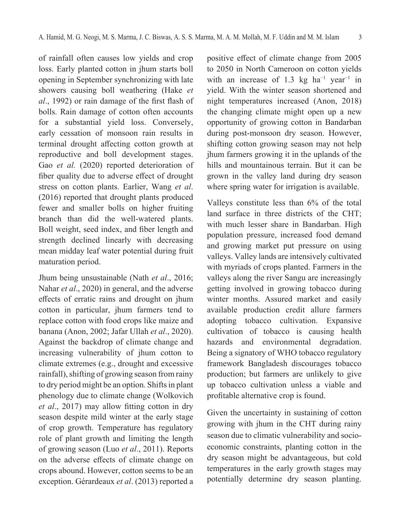of rainfall often causes low yields and crop loss. Early planted cotton in jhum starts boll opening in September synchronizing with late showers causing boll weathering (Hake *et al*., 1992) or rain damage of the first flash of bolls. Rain damage of cotton often accounts for a substantial yield loss. Conversely, early cessation of monsoon rain results in terminal drought affecting cotton growth at reproductive and boll development stages. Gao *et al.* (2020) reported deterioration of fiber quality due to adverse effect of drought stress on cotton plants. Earlier, Wang *et al*. (2016) reported that drought plants produced fewer and smaller bolls on higher fruiting branch than did the well-watered plants. Boll weight, seed index, and fiber length and strength declined linearly with decreasing mean midday leaf water potential during fruit maturation period.

Jhum being unsustainable (Nath *et al*., 2016; Nahar *et al*., 2020) in general, and the adverse effects of erratic rains and drought on jhum cotton in particular, jhum farmers tend to replace cotton with food crops like maize and banana (Anon, 2002; Jafar Ullah *et al*., 2020). Against the backdrop of climate change and increasing vulnerability of jhum cotton to climate extremes (e.g., drought and excessive rainfall), shifting of growing season from rainy to dry period might be an option. Shifts in plant phenology due to climate change (Wolkovich *et al*., 2017) may allow fitting cotton in dry season despite mild winter at the early stage of crop growth. Temperature has regulatory role of plant growth and limiting the length of growing season (Luo *et al*., 2011). Reports on the adverse effects of climate change on crops abound. However, cotton seems to be an exception. Gérardeaux *et al*. (2013) reported a

positive effect of climate change from 2005 to 2050 in North Cameroon on cotton yields with an increase of 1.3 kg ha<sup>-1</sup> year<sup>-1</sup> in yield. With the winter season shortened and night temperatures increased (Anon, 2018) the changing climate might open up a new opportunity of growing cotton in Bandarban during post-monsoon dry season. However, shifting cotton growing season may not help jhum farmers growing it in the uplands of the hills and mountainous terrain. But it can be grown in the valley land during dry season where spring water for irrigation is available.

Valleys constitute less than 6% of the total land surface in three districts of the CHT; with much lesser share in Bandarban. High population pressure, increased food demand and growing market put pressure on using valleys. Valley lands are intensively cultivated with myriads of crops planted. Farmers in the valleys along the river Sangu are increasingly getting involved in growing tobacco during winter months. Assured market and easily available production credit allure farmers adopting tobacco cultivation. Expansive cultivation of tobacco is causing health hazards and environmental degradation. Being a signatory of WHO tobacco regulatory framework Bangladesh discourages tobacco production; but farmers are unlikely to give up tobacco cultivation unless a viable and profitable alternative crop is found.

Given the uncertainty in sustaining of cotton growing with jhum in the CHT during rainy season due to climatic vulnerability and socioeconomic constraints, planting cotton in the dry season might be advantageous, but cold temperatures in the early growth stages may potentially determine dry season planting.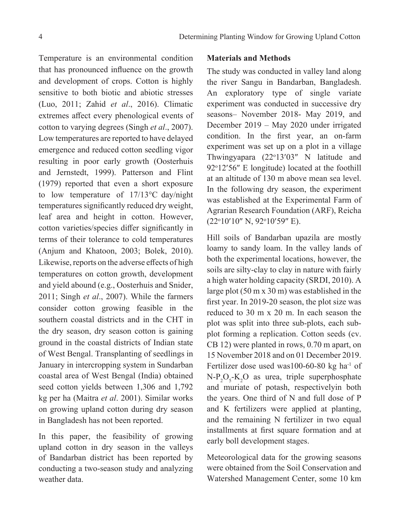Temperature is an environmental condition that has pronounced influence on the growth and development of crops. Cotton is highly sensitive to both biotic and abiotic stresses (Luo, 2011; Zahid *et al*., 2016). Climatic extremes affect every phenological events of cotton to varying degrees (Singh *et al*., 2007). Low temperatures are reported to have delayed emergence and reduced cotton seedling vigor resulting in poor early growth (Oosterhuis and Jernstedt, 1999). Patterson and Flint (1979) reported that even a short exposure to low temperature of 17/13°C day/night temperatures significantly reduced dry weight, leaf area and height in cotton. However, cotton varieties/species differ significantly in terms of their tolerance to cold temperatures (Anjum and Khatoon, 2003; Bolek, 2010). Likewise, reports on the adverse effects of high temperatures on cotton growth, development and yield abound (e.g., Oosterhuis and Snider, 2011; Singh *et al*., 2007). While the farmers consider cotton growing feasible in the southern coastal districts and in the CHT in the dry season, dry season cotton is gaining ground in the coastal districts of Indian state of West Bengal. Transplanting of seedlings in January in intercropping system in Sundarban coastal area of West Bengal (India) obtained seed cotton yields between 1,306 and 1,792 kg per ha (Maitra *et al*. 2001). Similar works on growing upland cotton during dry season in Bangladesh has not been reported.

In this paper, the feasibility of growing upland cotton in dry season in the valleys of Bandarban district has been reported by conducting a two-season study and analyzing weather data.

### **Materials and Methods**

The study was conducted in valley land along the river Sangu in Bandarban, Bangladesh. An exploratory type of single variate experiment was conducted in successive dry seasons– November 2018- May 2019, and December 2019 – May 2020 under irrigated condition. In the first year, an on-farm experiment was set up on a plot in a village Thwingyapara (22°13'03" N latitude and 92°12'56" E longitude) located at the foothill at an altitude of 130 m above mean sea level. In the following dry season, the experiment was established at the Experimental Farm of Agrarian Research Foundation (ARF), Reicha (22<sup>o</sup>10'10" N, 92<sup>o</sup>10'59" E).

Hill soils of Bandarban upazila are mostly loamy to sandy loam. In the valley lands of both the experimental locations, however, the soils are silty-clay to clay in nature with fairly a high water holding capacity (SRDI, 2010). A large plot (50 m x 30 m) was established in the first year. In 2019-20 season, the plot size was reduced to 30 m x 20 m. In each season the plot was split into three sub-plots, each subplot forming a replication. Cotton seeds (cv. CB 12) were planted in rows, 0.70 m apart, on 15 November 2018 and on 01 December 2019. Fertilizer dose used was100-60-80 kg ha $^{-1}$  of  $N-P_2O_5-K_2O$  as urea, triple superphosphate and muriate of potash, respectivelyin both the years. One third of N and full dose of P and K fertilizers were applied at planting, and the remaining N fertilizer in two equal installments at first square formation and at early boll development stages.

Meteorological data for the growing seasons were obtained from the Soil Conservation and Watershed Management Center, some 10 km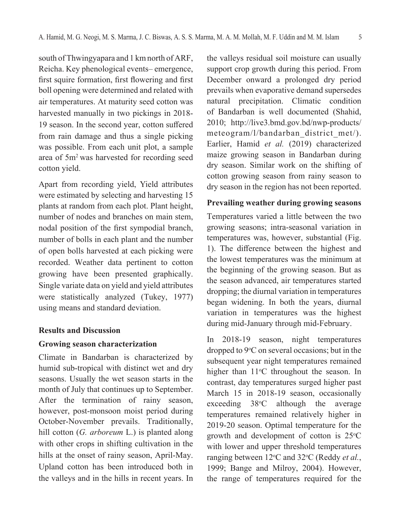south of Thwingyapara and 1 km north of ARF, Reicha. Key phenological events– emergence, first squire formation, first flowering and first boll opening were determined and related with air temperatures. At maturity seed cotton was harvested manually in two pickings in 2018- 19 season. In the second year, cotton suffered from rain damage and thus a single picking was possible. From each unit plot, a sample area of 5m2 was harvested for recording seed cotton yield.

Apart from recording yield, Yield attributes were estimated by selecting and harvesting 15 plants at random from each plot. Plant height, number of nodes and branches on main stem, nodal position of the first sympodial branch, number of bolls in each plant and the number of open bolls harvested at each picking were recorded. Weather data pertinent to cotton growing have been presented graphically. Single variate data on yield and yield attributes were statistically analyzed (Tukey, 1977) using means and standard deviation.

#### **Results and Discussion**

#### **Growing season characterization**

Climate in Bandarban is characterized by humid sub-tropical with distinct wet and dry seasons. Usually the wet season starts in the month of July that continues up to September. After the termination of rainy season, however, post-monsoon moist period during October-November prevails. Traditionally, hill cotton (*G. arboreum* L.) is planted along with other crops in shifting cultivation in the hills at the onset of rainy season, April-May. Upland cotton has been introduced both in the valleys and in the hills in recent years. In

the valleys residual soil moisture can usually support crop growth during this period. From December onward a prolonged dry period prevails when evaporative demand supersedes natural precipitation. Climatic condition of Bandarban is well documented (Shahid, 2010; http://live3.bmd.gov.bd/nwp-products/ meteogram/l/bandarban\_district\_met/). Earlier, Hamid *et al.* (2019) characterized maize growing season in Bandarban during dry season. Similar work on the shifting of cotton growing season from rainy season to dry season in the region has not been reported.

### **Prevailing weather during growing seasons**

Temperatures varied a little between the two growing seasons; intra-seasonal variation in temperatures was, however, substantial (Fig. 1). The difference between the highest and the lowest temperatures was the minimum at the beginning of the growing season. But as the season advanced, air temperatures started dropping; the diurnal variation in temperatures began widening. In both the years, diurnal variation in temperatures was the highest during mid-January through mid-February.

In 2018-19 season, night temperatures dropped to  $9^{\circ}$ C on several occasions; but in the subsequent year night temperatures remained higher than 11°C throughout the season. In contrast, day temperatures surged higher past March 15 in 2018-19 season, occasionally exceeding 38°C although the average temperatures remained relatively higher in 2019-20 season. Optimal temperature for the growth and development of cotton is  $25^{\circ}$ C with lower and upper threshold temperatures ranging between 12°C and 32°C (Reddy *et al.*, 1999; Bange and Milroy, 2004). However, the range of temperatures required for the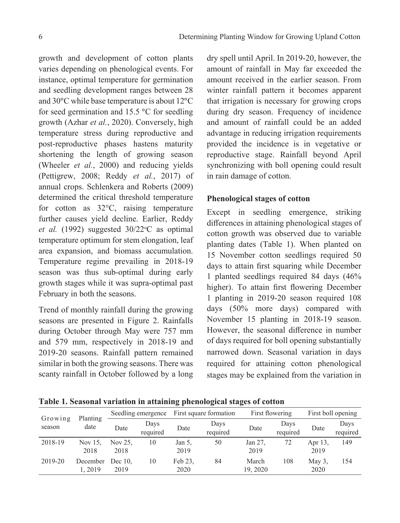growth and development of cotton plants varies depending on phenological events. For instance, optimal temperature for germination and seedling development ranges between 28 and 30°C while base temperature is about 12°C for seed germination and 15.5 °C for seedling growth (Azhar *et al.*, 2020). Conversely, high temperature stress during reproductive and post-reproductive phases hastens maturity shortening the length of growing season (Wheeler *et al.*, 2000) and reducing yields (Pettigrew, 2008; Reddy *et al.*, 2017) of annual crops. Schlenkera and Roberts (2009) determined the critical threshold temperature for cotton as 32°C, raising temperature further causes yield decline. Earlier, Reddy et al. (1992) suggested 30/22°C as optimal temperature optimum for stem elongation, leaf area expansion, and biomass accumulation. Temperature regime prevailing in 2018-19 season was thus sub-optimal during early growth stages while it was supra-optimal past February in both the seasons.

Trend of monthly rainfall during the growing seasons are presented in Figure 2. Rainfalls during October through May were 757 mm and 579 mm, respectively in 2018-19 and 2019-20 seasons. Rainfall pattern remained similar in both the growing seasons. There was scanty rainfall in October followed by a long

dry spell until April. In 2019-20, however, the amount of rainfall in May far exceeded the amount received in the earlier season. From winter rainfall pattern it becomes apparent that irrigation is necessary for growing crops during dry season. Frequency of incidence and amount of rainfall could be an added advantage in reducing irrigation requirements provided the incidence is in vegetative or reproductive stage. Rainfall beyond April synchronizing with boll opening could result in rain damage of cotton.

## **Phenological stages of cotton**

Except in seedling emergence, striking differences in attaining phenological stages of cotton growth was observed due to variable planting dates (Table 1). When planted on 15 November cotton seedlings required 50 days to attain first squaring while December 1 planted seedlings required 84 days (46% higher). To attain first flowering December 1 planting in 2019-20 season required 108 days (50% more days) compared with November 15 planting in 2018-19 season. However, the seasonal difference in number of days required for boll opening substantially narrowed down. Seasonal variation in days required for attaining cotton phenological stages may be explained from the variation in

**Table 1. Seasonal variation in attaining phenological stages of cotton** 

|                   |                    |                    |                  | - -                    | -                | o                 |                  |                    |                  |
|-------------------|--------------------|--------------------|------------------|------------------------|------------------|-------------------|------------------|--------------------|------------------|
| Growing<br>season | Planting<br>date   | Seedling emergence |                  | First square formation |                  | First flowering   |                  | First boll opening |                  |
|                   |                    | Date               | Days<br>required | Date                   | Days<br>required | Date              | Days<br>required | Date               | Days<br>required |
| 2018-19           | Nov 15,<br>2018    | Nov 25.<br>2018    | 10               | Jan 5,<br>2019         | 50               | Jan 27,<br>2019   | 72               | Apr 13,<br>2019    | 149              |
| 2019-20           | December<br>1.2019 | Dec $10$ .<br>2019 | 10               | Feb 23,<br>2020        | 84               | March<br>19, 2020 | 108              | May 3.<br>2020     | 154              |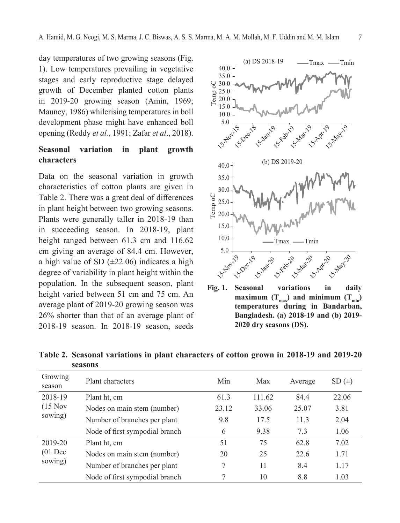day temperatures of two growing seasons (Fig. 1). Low temperatures prevailing in vegetative stages and early reproductive stage delayed growth of December planted cotton plants in 2019-20 growing season (Amin, 1969; Mauney, 1986) whilerising temperatures in boll development phase might have enhanced boll opening (Reddy *et al.*, 1991; Zafar *et al*., 2018).

# **Seasonal variation in plant growth characters**

Data on the seasonal variation in growth characteristics of cotton plants are given in Table 2. There was a great deal of differences in plant height between two growing seasons. Plants were generally taller in 2018-19 than in succeeding season. In 2018-19, plant height ranged between 61.3 cm and 116.62 cm giving an average of 84.4 cm. However, a high value of SD  $(\pm 22.06)$  indicates a high degree of variability in plant height within the population. In the subsequent season, plant height varied between 51 cm and 75 cm. An average plant of 2019-20 growing season was 26% shorter than that of an average plant of 2018-19 season. In 2018-19 season, seeds



**Fig. 1. Seasonal variations in daily**  maximum  $(T_{max})$  and minimum  $(T_{min})$ **temperatures during in Bandarban, Bangladesh. (a) 2018-19 and (b) 2019- 2020 dry seasons (DS).**

**Table 2. Seasonal variations in plant characters of cotton grown in 2018-19 and 2019-20 seasons**

| Growing<br>season               | Plant characters               | Min   | Max    | Average | SD(±) |
|---------------------------------|--------------------------------|-------|--------|---------|-------|
| 2018-19<br>$(15$ Nov<br>sowing) | Plant ht, cm                   | 61.3  | 111.62 | 84.4    | 22.06 |
|                                 | Nodes on main stem (number)    | 23.12 | 33.06  | 25.07   | 3.81  |
|                                 | Number of branches per plant   | 9.8   | 17.5   | 11.3    | 2.04  |
|                                 | Node of first sympodial branch | 6     | 9.38   | 7.3     | 1.06  |
| 2019-20<br>$(01$ Dec<br>sowing) | Plant ht, cm                   | 51    | 75     | 62.8    | 7.02  |
|                                 | Nodes on main stem (number)    | 20    | 25     | 22.6    | 1.71  |
|                                 | Number of branches per plant   | 7     | 11     | 8.4     | 1.17  |
|                                 | Node of first sympodial branch | 7     | 10     | 8.8     | 1.03  |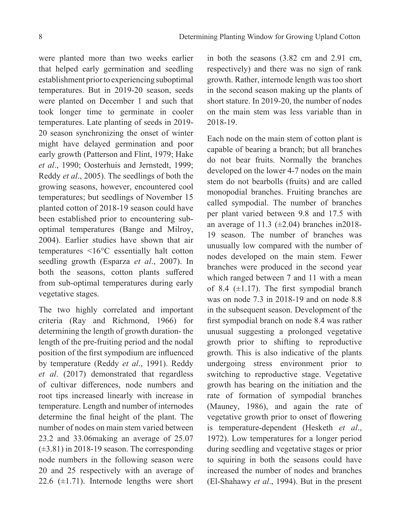were planted more than two weeks earlier that helped early germination and seedling establishment prior to experiencing suboptimal temperatures. But in 2019-20 season, seeds were planted on December 1 and such that took longer time to germinate in cooler temperatures. Late planting of seeds in 2019- 20 season synchronizing the onset of winter might have delayed germination and poor early growth (Patterson and Flint, 1979; Hake *et al*., 1990; Oosterhuis and Jernstedt, 1999; Reddy *et al*., 2005). The seedlings of both the growing seasons, however, encountered cool temperatures; but seedlings of November 15 planted cotton of 2018-19 season could have been established prior to encountering suboptimal temperatures (Bange and Milroy, 2004). Earlier studies have shown that air temperatures <16°C essentially halt cotton seedling growth (Esparza *et al*., 2007). In both the seasons, cotton plants suffered from sub-optimal temperatures during early vegetative stages.

The two highly correlated and important criteria (Ray and Richmond, 1966) for determining the length of growth duration- the length of the pre-fruiting period and the nodal position of the first sympodium are influenced by temperature (Reddy *et al*., 1991). Reddy *et al*. (2017) demonstrated that regardless of cultivar differences, node numbers and root tips increased linearly with increase in temperature. Length and number of internodes determine the final height of the plant. The number of nodes on main stem varied between 23.2 and 33.06making an average of 25.07 (±3.81) in 2018-19 season. The corresponding node numbers in the following season were 20 and 25 respectively with an average of 22.6  $(\pm 1.71)$ . Internode lengths were short

in both the seasons (3.82 cm and 2.91 cm, respectively) and there was no sign of rank growth. Rather, internode length was too short in the second season making up the plants of short stature. In 2019-20, the number of nodes on the main stem was less variable than in 2018-19.

Each node on the main stem of cotton plant is capable of bearing a branch; but all branches do not bear fruits. Normally the branches developed on the lower 4-7 nodes on the main stem do not bearbolls (fruits) and are called monopodial branches. Fruiting branches are called sympodial. The number of branches per plant varied between 9.8 and 17.5 with an average of 11.3  $(\pm 2.04)$  branches in 2018-19 season. The number of branches was unusually low compared with the number of nodes developed on the main stem. Fewer branches were produced in the second year which ranged between 7 and 11 with a mean of 8.4  $(\pm 1.17)$ . The first sympodial branch was on node 7.3 in 2018-19 and on node 8.8 in the subsequent season. Development of the first sympodial branch on node 8.4 was rather unusual suggesting a prolonged vegetative growth prior to shifting to reproductive growth. This is also indicative of the plants undergoing stress environment prior to switching to reproductive stage. Vegetative growth has bearing on the initiation and the rate of formation of sympodial branches (Mauney, 1986), and again the rate of vegetative growth prior to onset of flowering is temperature-dependent (Hesketh *et al*., 1972). Low temperatures for a longer period during seedling and vegetative stages or prior to squiring in both the seasons could have increased the number of nodes and branches (El-Shahawy *et al*., 1994). But in the present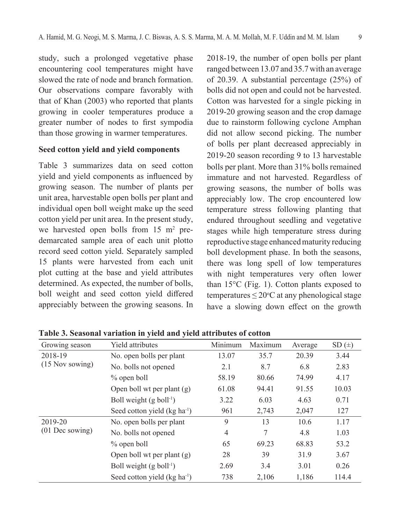study, such a prolonged vegetative phase encountering cool temperatures might have slowed the rate of node and branch formation. Our observations compare favorably with that of Khan (2003) who reported that plants growing in cooler temperatures produce a greater number of nodes to first sympodia than those growing in warmer temperatures.

## **Seed cotton yield and yield components**

Table 3 summarizes data on seed cotton yield and yield components as influenced by growing season. The number of plants per unit area, harvestable open bolls per plant and individual open boll weight make up the seed cotton yield per unit area. In the present study, we harvested open bolls from  $15 \text{ m}^2$  predemarcated sample area of each unit plotto record seed cotton yield. Separately sampled 15 plants were harvested from each unit plot cutting at the base and yield attributes determined. As expected, the number of bolls, boll weight and seed cotton yield differed appreciably between the growing seasons. In

2018-19, the number of open bolls per plant ranged between 13.07 and 35.7 with an average of 20.39. A substantial percentage (25%) of bolls did not open and could not be harvested. Cotton was harvested for a single picking in 2019-20 growing season and the crop damage due to rainstorm following cyclone Amphan did not allow second picking. The number of bolls per plant decreased appreciably in 2019-20 season recording 9 to 13 harvestable bolls per plant. More than 31% bolls remained immature and not harvested. Regardless of growing seasons, the number of bolls was appreciably low. The crop encountered low temperature stress following planting that endured throughout seedling and vegetative stages while high temperature stress during reproductive stage enhanced maturity reducing boll development phase. In both the seasons, there was long spell of low temperatures with night temperatures very often lower than 15°C (Fig. 1). Cotton plants exposed to  $temperatures \leq 20^{\circ}$ C at any phenological stage have a slowing down effect on the growth

| Growing season    | Yield attributes                         | Minimum        | Maximum | Average | SD(±) |
|-------------------|------------------------------------------|----------------|---------|---------|-------|
| 2018-19           | No. open bolls per plant                 | 13.07          | 35.7    | 20.39   | 3.44  |
| (15 Nov sowing)   | No. bolls not opened                     | 2.1            | 8.7     | 6.8     | 2.83  |
|                   | % open boll                              | 58.19          | 80.66   | 74.99   | 4.17  |
|                   | Open boll wt per plant $(g)$             | 61.08          | 94.41   | 91.55   | 10.03 |
|                   | Boll weight $(g \text{ boll}^{-1})$      | 3.22           | 6.03    | 4.63    | 0.71  |
|                   | Seed cotton yield (kg ha <sup>-1</sup> ) | 961            | 2,743   | 2,047   | 127   |
| 2019-20           | No. open bolls per plant                 | 9              | 13      | 10.6    | 1.17  |
| $(01$ Dec sowing) | No. bolls not opened                     | $\overline{4}$ | 7       | 4.8     | 1.03  |
|                   | % open boll                              | 65             | 69.23   | 68.83   | 53.2  |
|                   | Open boll wt per plant $(g)$             | 28             | 39      | 31.9    | 3.67  |
|                   | Boll weight $(g \text{ boll-1})$         | 2.69           | 3.4     | 3.01    | 0.26  |
|                   | Seed cotton yield (kg ha <sup>-1</sup> ) | 738            | 2,106   | 1,186   | 114.4 |

**Table 3. Seasonal variation in yield and yield attributes of cotton**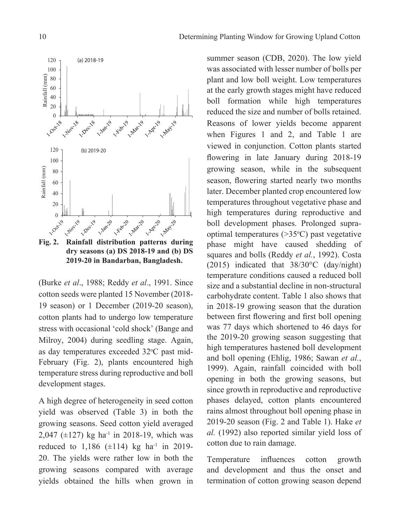

**dry seasons (a) DS 2018-19 and (b) DS 2019-20 in Bandarban, Bangladesh.**

(Burke *et al*., 1988; Reddy *et al*., 1991. Since cotton seeds were planted 15 November (2018- 19 season) or 1 December (2019-20 season), cotton plants had to undergo low temperature stress with occasional 'cold shock' (Bange and Milroy, 2004) during seedling stage. Again, as day temperatures exceeded 32°C past mid-February (Fig. 2), plants encountered high temperature stress during reproductive and boll development stages.

A high degree of heterogeneity in seed cotton yield was observed (Table 3) in both the growing seasons. Seed cotton yield averaged 2,047 ( $\pm$ 127) kg ha<sup>-1</sup> in 2018-19, which was reduced to  $1,186$  ( $\pm$ 114) kg ha<sup>-1</sup> in 2019-20. The yields were rather low in both the growing seasons compared with average yields obtained the hills when grown in

summer season (CDB, 2020). The low yield was associated with lesser number of bolls per plant and low boll weight. Low temperatures at the early growth stages might have reduced boll formation while high temperatures reduced the size and number of bolls retained. Reasons of lower yields become apparent when Figures 1 and 2, and Table 1 are viewed in conjunction. Cotton plants started flowering in late January during 2018-19 growing season, while in the subsequent season, flowering started nearly two months later. December planted crop encountered low temperatures throughout vegetative phase and high temperatures during reproductive and boll development phases. Prolonged supraoptimal temperatures  $(>35°C)$  past vegetative phase might have caused shedding of squares and bolls (Reddy *et al.*, 1992). Costa (2015) indicated that 38/30°C (day/night) temperature conditions caused a reduced boll size and a substantial decline in non-structural carbohydrate content. Table 1 also shows that in 2018-19 growing season that the duration between first flowering and first boll opening was 77 days which shortened to 46 days for the 2019-20 growing season suggesting that high temperatures hastened boll development and boll opening (Ehlig, 1986; Sawan *et al.*, 1999). Again, rainfall coincided with boll opening in both the growing seasons, but since growth in reproductive and reproductive phases delayed, cotton plants encountered rains almost throughout boll opening phase in 2019-20 season (Fig. 2 and Table 1). Hake *et al.* (1992) also reported similar yield loss of cotton due to rain damage.

Temperature influences cotton growth and development and thus the onset and termination of cotton growing season depend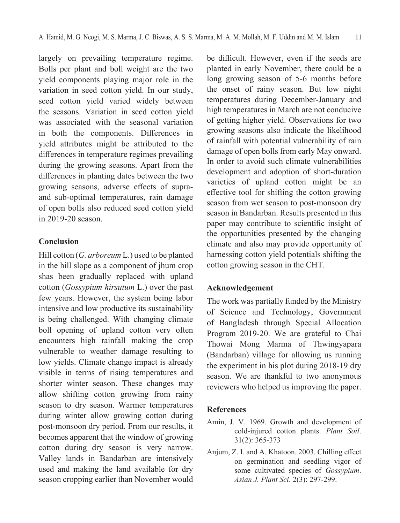largely on prevailing temperature regime. Bolls per plant and boll weight are the two yield components playing major role in the variation in seed cotton yield. In our study, seed cotton yield varied widely between the seasons. Variation in seed cotton yield was associated with the seasonal variation in both the components. Differences in yield attributes might be attributed to the differences in temperature regimes prevailing during the growing seasons. Apart from the differences in planting dates between the two growing seasons, adverse effects of supraand sub-optimal temperatures, rain damage of open bolls also reduced seed cotton yield in 2019-20 season.

## **Conclusion**

Hill cotton (*G. arboreum* L.) used to be planted in the hill slope as a component of jhum crop shas been gradually replaced with upland cotton (*Gossypium hirsutum* L.) over the past few years. However, the system being labor intensive and low productive its sustainability is being challenged. With changing climate boll opening of upland cotton very often encounters high rainfall making the crop vulnerable to weather damage resulting to low yields. Climate change impact is already visible in terms of rising temperatures and shorter winter season. These changes may allow shifting cotton growing from rainy season to dry season. Warmer temperatures during winter allow growing cotton during post-monsoon dry period. From our results, it becomes apparent that the window of growing cotton during dry season is very narrow. Valley lands in Bandarban are intensively used and making the land available for dry season cropping earlier than November would

be difficult. However, even if the seeds are planted in early November, there could be a long growing season of 5-6 months before the onset of rainy season. But low night temperatures during December-January and high temperatures in March are not conducive of getting higher yield. Observations for two growing seasons also indicate the likelihood of rainfall with potential vulnerability of rain damage of open bolls from early May onward. In order to avoid such climate vulnerabilities development and adoption of short-duration varieties of upland cotton might be an effective tool for shifting the cotton growing season from wet season to post-monsoon dry season in Bandarban. Results presented in this paper may contribute to scientific insight of the opportunities presented by the changing climate and also may provide opportunity of harnessing cotton yield potentials shifting the cotton growing season in the CHT.

#### **Acknowledgement**

The work was partially funded by the Ministry of Science and Technology, Government of Bangladesh through Special Allocation Program 2019-20. We are grateful to Chai Thowai Mong Marma of Thwingyapara (Bandarban) village for allowing us running the experiment in his plot during 2018-19 dry season. We are thankful to two anonymous reviewers who helped us improving the paper.

#### **References**

- Amin, J. V. 1969. Growth and development of cold-injured cotton plants. *Plant Soil*. 31(2): 365-373
- Anjum, Z. I. and A. Khatoon. 2003. Chilling effect on germination and seedling vigor of some cultivated species of *Gossypium*. *Asian J. Plant Sci*. 2(3): 297-299.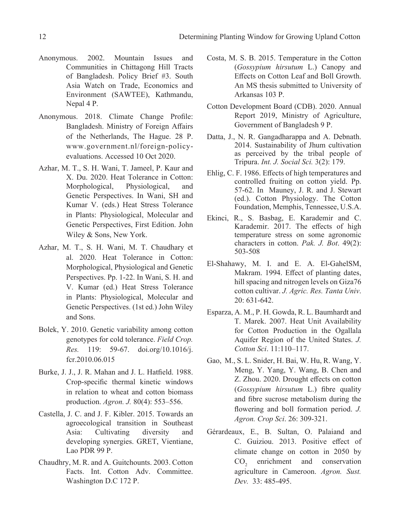- Anonymous. 2002. Mountain Issues and Communities in Chittagong Hill Tracts of Bangladesh. Policy Brief #3. South Asia Watch on Trade, Economics and Environment (SAWTEE), Kathmandu, Nepal 4 P.
- Anonymous. 2018. Climate Change Profile: Bangladesh. Ministry of Foreign Affairs of the Netherlands, The Hague. 28 P. www.government.nl/foreign-policyevaluations. Accessed 10 Oct 2020.
- Azhar, M. T., S. H. Wani, T. Jameel, P. Kaur and X. Du. 2020. Heat Tolerance in Cotton: Morphological, Physiological, and Genetic Perspectives. In Wani, SH and Kumar V. (eds.) Heat Stress Tolerance in Plants: Physiological, Molecular and Genetic Perspectives, First Edition. John Wiley & Sons, New York.
- Azhar, M. T., S. H. Wani, M. T. Chaudhary et al. 2020. Heat Tolerance in Cotton: Morphological, Physiological and Genetic Perspectives. Pp. 1-22. In Wani, S. H. and V. Kumar (ed.) Heat Stress Tolerance in Plants: Physiological, Molecular and Genetic Perspectives. (1st ed.) John Wiley and Sons.
- Bolek, Y. 2010. Genetic variability among cotton genotypes for cold tolerance. *Field Crop. Res.* 119: 59-67. doi.org/10.1016/j. fcr.2010.06.015
- Burke, J. J., J. R. Mahan and J. L. Hatfield. 1988. Crop-specific thermal kinetic windows in relation to wheat and cotton biomass production. *Agron. J.* 80(4): 553–556.
- Castella, J. C. and J. F. Kibler. 2015. Towards an agroecological transition in Southeast Asia: Cultivating diversity and developing synergies. GRET, Vientiane, Lao PDR 99 P.
- Chaudhry, M. R. and A. Guitchounts. 2003. Cotton Facts. Int. Cotton Adv. Committee. Washington D.C 172 P.
- Costa, M. S. B. 2015. Temperature in the Cotton (*Gossypium hirsutum* L.) Canopy and Effects on Cotton Leaf and Boll Growth. An MS thesis submitted to University of Arkansas 103 P.
- Cotton Development Board (CDB). 2020. Annual Report 2019, Ministry of Agriculture, Government of Bangladesh 9 P.
- Datta, J., N. R. Gangadharappa and A. Debnath. 2014. Sustainability of Jhum cultivation as perceived by the tribal people of Tripura. *Int. J. Social Sci.* 3(2): 179.
- Ehlig, C. F. 1986. Effects of high temperatures and controlled fruiting on cotton yield. Pp. 57-62. In Mauney, J. R. and J. Stewart (ed.). Cotton Physiology. The Cotton Foundation, Memphis, Tennessee, U.S.A.
- Ekinci, R., S. Basbag, E. Karademir and C. Karademir. 2017. The effects of high temperature stress on some agronomic characters in cotton. *Pak. J. Bot*. 49(2): 503-508
- El-Shahawy, M. I. and E. A. El-GahelSM, Makram. 1994. Effect of planting dates, hill spacing and nitrogen levels on Giza76 cotton cultivar. *J. Agric. Res. Tanta Univ*. 20: 631-642.
- Esparza, A. M., P. H. Gowda, R. L. Baumhardt and T. Marek. 2007. Heat Unit Availability for Cotton Production in the Ogallala Aquifer Region of the United States. *J. Cotton Sci*. 11:110–117.
- Gao, M., S. L. Snider, H. Bai, W. Hu, R. Wang, Y. Meng, Y. Yang, Y. Wang, B. Chen and Z. Zhou. 2020. Drought effects on cotton (*Gossypium hirsutum* L.) fibre quality and fibre sucrose metabolism during the flowering and boll formation period. *J. Agron. Crop Sci*. 26: 309-321.
- Gérardeaux, E., B. Sultan, O. Palaiand and C. Guiziou. 2013. Positive effect of climate change on cotton in 2050 by CO<sub>2</sub> enrichment and conservation agriculture in Cameroon. *Agron. Sust. Dev.* 33: 485-495.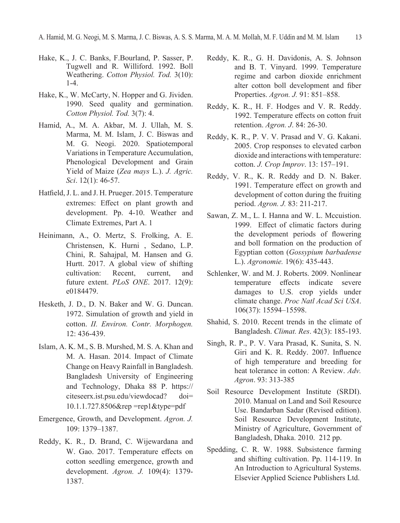- Hake, K., J. C. Banks, F.Bourland, P. Sasser, P. Tugwell and R. Williford. 1992. Boll Weathering. *Cotton Physiol. Tod.* 3(10): 1-4.
- Hake, K., W. McCarty, N. Hopper and G. Jividen. 1990. Seed quality and germination. *Cotton Physiol. Tod.* 3(7): 4.
- Hamid, A., M. A. Akbar, M. J. Ullah, M. S. Marma, M. M. Islam, J. C. Biswas and M. G. Neogi. 2020. Spatiotemporal Variations in Temperature Accumulation, Phenological Development and Grain Yield of Maize (*Zea mays* L.). *J. Agric. Sci*. 12(1): 46-57.
- Hatfield, J. L. and J. H. Prueger. 2015. Temperature extremes: Effect on plant growth and development. Pp. 4-10. Weather and Climate Extremes, Part A. 1
- Heinimann, A., O. Mertz, S. Frolking, A. E. Christensen, K. Hurni , Sedano, L.P. Chini, R. Sahajpal, M. Hansen and G. Hurtt. 2017. A global view of shifting cultivation: Recent, current, and future extent. *PLoS ONE*. 2017. 12(9): e0184479.
- Hesketh, J. D., D. N. Baker and W. G. Duncan. 1972. Simulation of growth and yield in cotton. *II. Environ. contr. morphogen.* 12: 436-439.
- Islam, A. K. M., S. B. Murshed, M. S. A. Khan and M. A. Hasan. 2014. Impact of Climate Change on Heavy Rainfall in Bangladesh. Bangladesh University of Engineering and Technology, Dhaka 88 P. https:// citeseerx.ist.psu.edu/viewdocad? doi= 10.1.1.727.8506&rep =rep1&type=pdf
- Emergence, Growth, and Development. *Agron. J.* 109: 1379–1387.
- Reddy, K. R., D. Brand, C. Wijewardana and W. Gao. 2017. Temperature effects on cotton seedling emergence, growth and development. *Agron. J.* 109(4): 1379- 1387.
- Reddy, K. R., G. H. Davidonis, A. S. Johnson and B. T. Vinyard. 1999. Temperature regime and carbon dioxide enrichment alter cotton boll development and fiber Properties. *Agron. J.* 91: 851–858.
- Reddy, K. R., H. F. Hodges and V. R. Reddy. 1992. Temperature effects on cotton fruit retention. *Agron. J*. 84: 26-30.
- Reddy, K. R., P. V. V. Prasad and V. G. Kakani. 2005. Crop responses to elevated carbon dioxide and interactions with temperature: cotton. *J. Crop Improv*. 13: 157–191.
- Reddy, V. R., K. R. Reddy and D. N. Baker. 1991. Temperature effect on growth and development of cotton during the fruiting period. *Agron. J.* 83: 211-217.
- Sawan, Z. M., L. I. Hanna and W. L. Mccuistion. 1999. Effect of climatic factors during the development periods of flowering and boll formation on the production of Egyptian cotton (*Gossypium barbadense* L.). *Agronomie.* 19(6): 435-443.
- Schlenker, W. and M. J. Roberts. 2009. Nonlinear temperature effects indicate severe damages to U.S. crop yields under climate change. *Proc Natl Acad Sci USA*. 106(37): 15594–15598.
- Shahid, S. 2010. Recent trends in the climate of Bangladesh. *Climat. Res*. 42(3): 185-193.
- Singh, R. P., P. V. Vara Prasad, K. Sunita, S. N. Giri and K. R. Reddy. 2007. Influence of high temperature and breeding for heat tolerance in cotton: A Review. *Adv. Agron*. 93: 313-385
- Soil Resource Development Institute (SRDI). 2010. Manual on Land and Soil Resource Use. Bandarban Sadar (Revised edition). Soil Resource Development Institute, Ministry of Agriculture, Government of Bangladesh, Dhaka. 2010. 212 pp.
- Spedding, C. R. W. 1988. Subsistence farming and shifting cultivation. Pp. 114-119. In An Introduction to Agricultural Systems. Elsevier Applied Science Publishers Ltd.